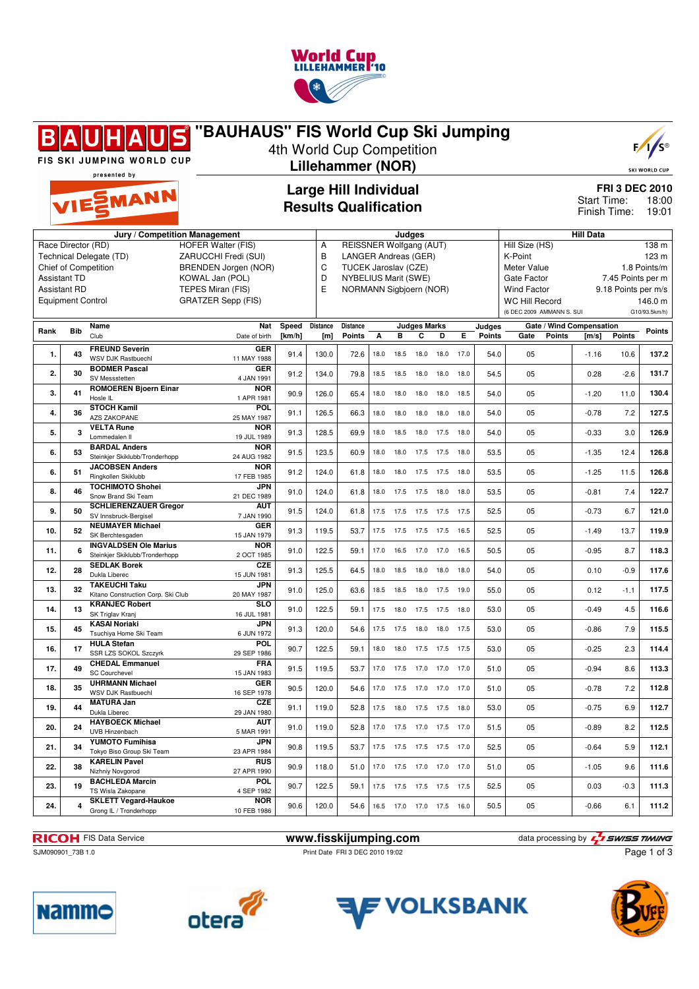

|      |                          | FIS SKI JUMPING WORLD CUP<br>presented by                | "BAUHAUS" FIS World Cup Ski Jumping               |        |                 | 4th World Cup Competition<br><b>Lillehammer (NOR)</b>         |      |        |                              |      |      |               |                                                    |               |                             |                     | $F / \sqrt{S^{\circ}}$<br><b>SKI WORLD CUP</b> |
|------|--------------------------|----------------------------------------------------------|---------------------------------------------------|--------|-----------------|---------------------------------------------------------------|------|--------|------------------------------|------|------|---------------|----------------------------------------------------|---------------|-----------------------------|---------------------|------------------------------------------------|
|      |                          | VIESMANN                                                 |                                                   |        |                 | <b>Large Hill Individual</b><br><b>Results Qualification</b>  |      |        |                              |      |      |               |                                                    |               | Start Time:<br>Finish Time: |                     | <b>FRI 3 DEC 2010</b><br>18:00<br>19:01        |
|      |                          | Jury / Competition Management                            |                                                   |        |                 |                                                               |      | Judaes |                              |      |      |               |                                                    |               | <b>Hill Data</b>            |                     |                                                |
|      |                          | Race Director (RD)<br>Technical Delegate (TD)            | <b>HOFER Walter (FIS)</b><br>ZARUCCHI Fredi (SUI) |        | Α<br>B          | <b>REISSNER Wolfgang (AUT)</b><br><b>LANGER Andreas (GER)</b> |      |        |                              |      |      |               | Hill Size (HS)<br>K-Point                          |               |                             |                     | 138 m<br>123 m                                 |
|      |                          | Chief of Competition                                     | <b>BRENDEN Jorgen (NOR)</b>                       |        | C               | TUCEK Jaroslav (CZE)                                          |      |        |                              |      |      |               | Meter Value                                        |               |                             |                     | 1.8 Points/m                                   |
|      | <b>Assistant TD</b>      |                                                          | KOWAL Jan (POL)                                   |        | D               | NYBELIUS Marit (SWE)                                          |      |        |                              |      |      |               | Gate Factor                                        |               |                             | 7.45 Points per m   |                                                |
|      | <b>Assistant RD</b>      |                                                          | TEPES Miran (FIS)                                 |        | E               | NORMANN Sigbjoern (NOR)                                       |      |        |                              |      |      |               | <b>Wind Factor</b>                                 |               |                             | 9.18 Points per m/s |                                                |
|      | <b>Equipment Control</b> |                                                          | <b>GRATZER Sepp (FIS)</b>                         |        |                 |                                                               |      |        |                              |      |      |               | <b>WC Hill Record</b><br>(6 DEC 2009 AMMANN S. SUI |               |                             |                     | 146.0 m<br>G10/93.5km/h)                       |
|      |                          | Name                                                     | Nat                                               | Speed  | <b>Distance</b> | <b>Distance</b>                                               |      |        | <b>Judges Marks</b>          |      |      | Judges        |                                                    |               | Gate / Wind Compensation    |                     |                                                |
| Rank | <b>Bib</b>               | Club                                                     | Date of birth                                     | [km/h] | [m]             | <b>Points</b>                                                 | A    | в      | C                            | D    | Е    | <b>Points</b> | Gate                                               | <b>Points</b> | [m/s]                       | Points              | Points                                         |
| 1.   | 43                       | <b>FREUND Severin</b><br>WSV DJK Rastbuechl              | <b>GER</b><br>11 MAY 1988                         | 91.4   | 130.0           | 72.6                                                          | 18.0 | 18.5   | 18.0                         | 18.0 | 17.0 | 54.0          | 05                                                 |               | $-1.16$                     | 10.6                | 137.2                                          |
| 2.   | 30                       | <b>BODMER Pascal</b>                                     | <b>GER</b>                                        | 91.2   | 134.0           | 79.8                                                          | 18.5 | 18.5   | 18.0                         | 18.0 | 18.0 | 54.5          | 05                                                 |               | 0.28                        | $-2.6$              | 131.7                                          |
|      |                          | SV Messstetten<br><b>ROMOEREN Bjoern Einar</b>           | 4 JAN 1991<br><b>NOR</b>                          |        |                 |                                                               |      |        |                              |      |      |               |                                                    |               |                             |                     |                                                |
| 3.   | 41                       | Hosle IL                                                 | 1 APR 1981                                        | 90.9   | 126.0           | 65.4                                                          | 18.0 | 18.0   | 18.0                         | 18.0 | 18.5 | 54.0          | 05                                                 |               | $-1.20$                     | 11.0                | 130.4                                          |
| 4.   | 36                       | <b>STOCH Kamil</b><br><b>AZS ZAKOPANE</b>                | <b>POL</b><br>25 MAY 1987                         | 91.1   | 126.5           | 66.3                                                          | 18.0 | 18.0   | 18.0                         | 18.0 | 18.0 | 54.0          | 05                                                 |               | $-0.78$                     | 7.2                 | 127.5                                          |
| 5.   | 3                        | <b>VELTA Rune</b><br>Lommedalen II                       | <b>NOR</b><br>19 JUL 1989                         | 91.3   | 128.5           | 69.9                                                          | 18.0 | 18.5   | 18.0                         | 17.5 | 18.0 | 54.0          | 05                                                 |               | $-0.33$                     | 3.0                 | 126.9                                          |
| 6.   | 53                       | <b>BARDAL Anders</b>                                     | <b>NOR</b>                                        | 91.5   | 123.5           | 60.9                                                          | 18.0 | 18.0   | 17.5                         | 17.5 | 18.0 | 53.5          | 05                                                 |               | $-1.35$                     | 12.4                | 126.8                                          |
| 6.   |                          | Steinkjer Skiklubb/Tronderhopp<br><b>JACOBSEN Anders</b> | 24 AUG 1982<br><b>NOR</b>                         |        |                 |                                                               |      |        |                              |      |      |               | 05                                                 |               |                             | 11.5                |                                                |
|      | 51                       | Ringkollen Skiklubb<br><b>TOCHIMOTO Shohei</b>           | 17 FEB 1985<br>JPN                                | 91.2   | 124.0           | 61.8                                                          | 18.0 | 18.0   | 17.5                         | 17.5 | 18.0 | 53.5          |                                                    |               | $-1.25$                     |                     | 126.8                                          |
| 8.   | 46                       | Snow Brand Ski Team                                      | 21 DEC 1989                                       | 91.0   | 124.0           | 61.8                                                          | 18.0 | 17.5   | 17.5                         | 18.0 | 18.0 | 53.5          | 05                                                 |               | $-0.81$                     | 7.4                 | 122.7                                          |
| 9.   | 50                       | <b>SCHLIERENZAUER Gregor</b><br>SV Innsbruck-Bergisel    | <b>AUT</b><br>7 JAN 1990                          | 91.5   | 124.0           | 61.8                                                          | 17.5 | 17.5   | 17.5                         | 17.5 | 17.5 | 52.5          | 05                                                 |               | $-0.73$                     | 6.7                 | 121.0                                          |
| 10.  | 52                       | <b>NEUMAYER Michael</b><br>SK Berchtesgaden              | <b>GER</b><br>15 JAN 1979                         | 91.3   | 119.5           | 53.7                                                          | 17.5 | 17.5   | 17.5                         | 17.5 | 16.5 | 52.5          | 05                                                 |               | $-1.49$                     | 13.7                | 119.9                                          |
| 11.  | 6                        | <b>INGVALDSEN Ole Marius</b>                             | <b>NOR</b>                                        | 91.0   | 122.5           | 59.1                                                          | 17.0 | 16.5   | 17.0                         | 17.0 | 16.5 | 50.5          | 05                                                 |               | $-0.95$                     | 8.7                 | 118.3                                          |
| 12.  | 28                       | Steinkjer Skiklubb/Tronderhopp<br><b>SEDLAK Borek</b>    | 2 OCT 1985<br><b>CZE</b>                          | 91.3   | 125.5           | 64.5                                                          | 18.0 | 18.5   | 18.0                         | 18.0 | 18.0 | 54.0          | 05                                                 |               | 0.10                        | $-0.9$              | 117.6                                          |
|      |                          | Dukla Liberec<br><b>TAKEUCHI Taku</b>                    | 15 JUN 1981<br><b>JPN</b>                         |        |                 |                                                               |      |        |                              |      |      |               |                                                    |               |                             |                     |                                                |
| 13.  | 32                       | Kitano Construction Corp. Ski Club                       | 20 MAY 1987                                       | 91.0   | 125.0           | 63.6                                                          | 18.5 | 18.5   | 18.0                         | 17.5 | 19.0 | 55.0          | 05                                                 |               | 0.12                        | $-1.1$              | 117.5                                          |
| 14.  | 13                       | <b>KRANJEC Robert</b><br>SK Triglav Kranj                | <b>SLO</b><br>16 JUL 1981                         | 91.0   | 122.5           | 59.1                                                          | 17.5 | 18.0   | 17.5                         | 17.5 | 18.0 | 53.0          | 05                                                 |               | $-0.49$                     | 4.5                 | 116.6                                          |
| 15.  | 45                       | <b>KASAI Noriaki</b><br>Tsuchiva Home Ski Team           | <b>JPN</b><br>6 JUN 1972                          | 91.3   | 120.0           | 54.6                                                          | 17.5 | 17.5   | 18.0                         | 18.0 | 17.5 | 53.0          | 05                                                 |               | $-0.86$                     | 7.9                 | 115.5                                          |
| 16.  | 17                       | <b>HULA Stefan</b><br>SSR LZS SOKOL Szczyrk              | <b>POL</b><br>29 SEP 1986                         | 90.7   | 122.5           | 59.1                                                          |      |        | 18.0 18.0 17.5 17.5 17.5     |      |      | 53.0          | 05                                                 |               | $-0.25$                     | 2.3                 | 114.4                                          |
| 17.  | 49                       | <b>CHEDAL Emmanuel</b><br><b>SC Courchevel</b>           | <b>FRA</b><br>15 JAN 1983                         | 91.5   | 119.5           | 53.7                                                          |      |        | 17.0  17.5  17.0  17.0  17.0 |      |      | 51.0          | 05                                                 |               | $-0.94$                     | 8.6                 | 113.3                                          |
| 18.  | 35                       | <b>UHRMANN Michael</b><br>WSV DJK Rastbuechl             | <b>GER</b>                                        | 90.5   | 120.0           | 54.6                                                          |      |        | 17.0  17.5  17.0  17.0  17.0 |      |      | 51.0          | 05                                                 |               | $-0.78$                     | 7.2                 | 112.8                                          |
| 19.  | 44                       | <b>MATURA Jan</b>                                        | 16 SEP 1978<br>CZE                                | 91.1   | 119.0           | 52.8                                                          |      |        | 17.5  18.0  17.5  17.5  18.0 |      |      | 53.0          | 05                                                 |               | $-0.75$                     | 6.9                 | 112.7                                          |
|      |                          | Dukla Liberec<br><b>HAYBOECK Michael</b>                 | 29 JAN 1980<br><b>AUT</b>                         |        |                 |                                                               |      |        |                              |      |      |               |                                                    |               |                             |                     |                                                |
| 20.  | 24                       | UVB Hinzenbach<br>YUMOTO Fumihisa                        | 5 MAR 1991<br><b>JPN</b>                          | 91.0   | 119.0           | 52.8                                                          |      |        | 17.0  17.5  17.0  17.5  17.0 |      |      | 51.5          | 05                                                 |               | $-0.89$                     | 8.2                 | 112.5                                          |
| 21.  | 34                       | Tokyo Biso Group Ski Team                                | 23 APR 1984                                       | 90.8   | 119.5           | 53.7                                                          |      |        | 17.5 17.5 17.5 17.5 17.0     |      |      | 52.5          | 05                                                 |               | $-0.64$                     | 5.9                 | 112.1                                          |
| 22.  | 38                       | <b>KARELIN Pavel</b><br>Nizhniy Novgorod                 | <b>RUS</b><br>27 APR 1990                         | 90.9   | 118.0           | 51.0                                                          |      |        | 17.0  17.5  17.0  17.0  17.0 |      |      | 51.0          | 05                                                 |               | $-1.05$                     | 9.6                 | 111.6                                          |
| 23.  | 19                       | <b>BACHLEDA Marcin</b><br>TS Wisla Zakopane              | <b>POL</b><br>4 SEP 1982                          | 90.7   | 122.5           | 59.1                                                          |      |        | 17.5  17.5  17.5  17.5  17.5 |      |      | 52.5          | 05                                                 |               | 0.03                        | $-0.3$              | 111.3                                          |
| 24.  | 4                        | <b>SKLETT Vegard-Haukoe</b>                              | <b>NOR</b>                                        | 90.6   | 120.0           | 54.6                                                          |      |        | 16.5 17.0 17.0 17.5 16.0     |      |      | 50.5          | 05                                                 |               | $-0.66$                     | 6.1                 | 111.2                                          |
|      |                          | Grong IL / Tronderhopp                                   | 10 FEB 1986                                       |        |                 |                                                               |      |        |                              |      |      |               |                                                    |               |                             |                     |                                                |

SJM090901\_73B 1.0 Print Date FRI 3 DEC 2010 19:02

**RICOH** FIS Data Service **www.fisskijumping.com** data processing by  $\frac{7}{2}$  **swiss TIMING** Page 1 of 3







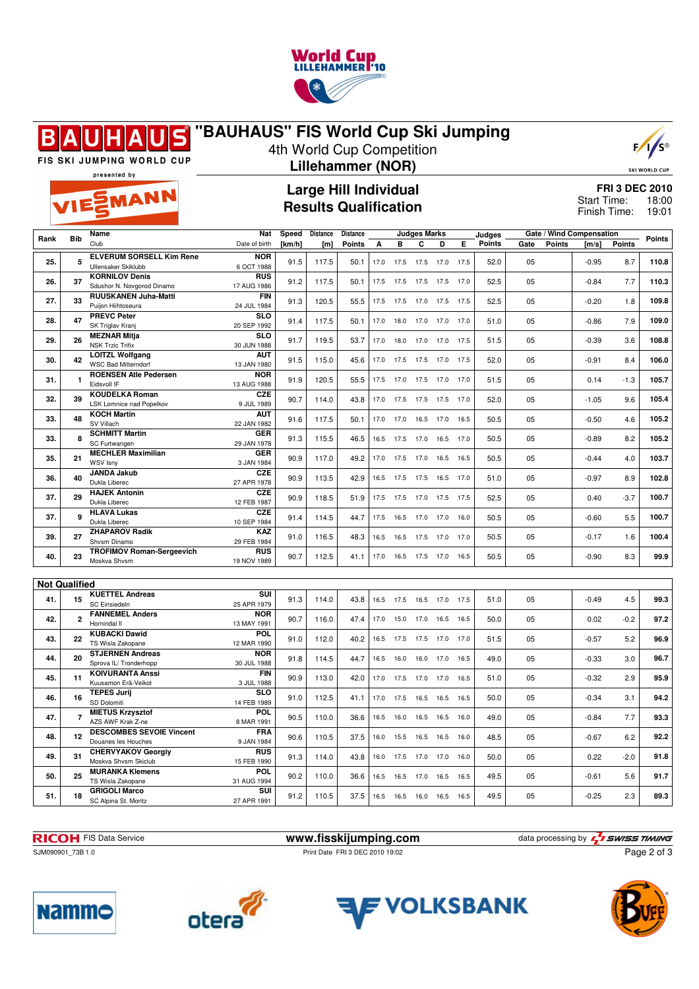

## **"BAUHAUS" FIS World Cup Ski Jumping** S R



SKI WORLD CUP

FIS SKI JUMPING WORLD CUP presented by

**SMANN** 

## 4th World Cup Competition **Lillehammer (NOR)**

**Large Hill Individual Results Qualification**

**FRI 3 DEC 2010** 18:00 19:01 Start Time: Finish Time:

| Rank                 | <b>Bib</b>     | Name                                              | Nat                       | Speed  | <b>Distance</b> | <b>Distance</b> |      |                | Judges Marks |      |      | Judges        |      |               | Gate / Wind Compensation |               | <b>Points</b> |
|----------------------|----------------|---------------------------------------------------|---------------------------|--------|-----------------|-----------------|------|----------------|--------------|------|------|---------------|------|---------------|--------------------------|---------------|---------------|
|                      |                | Club                                              | Date of birth             | [km/h] | [m]             | <b>Points</b>   | A    | B              | C            | D    | Е    | <b>Points</b> | Gate | <b>Points</b> | [m/s]                    | <b>Points</b> |               |
|                      |                | <b>ELVERUM SORSELL Kim Rene</b>                   | <b>NOR</b>                |        |                 |                 |      |                |              |      |      |               |      |               |                          |               |               |
| 25.                  | 5              | Ullensaker Skiklubb                               | 6 OCT 1988                | 91.5   | 117.5           | 50.1            | 17.0 | 17.5           | 17.5         | 17.0 | 17.5 | 52.0          | 05   |               | $-0.95$                  | 8.7           | 110.8         |
|                      |                | <b>KORNILOV Denis</b>                             | <b>RUS</b>                |        |                 |                 |      |                |              |      |      |               |      |               |                          |               |               |
| 26.                  | 37             | Sdushor N. Novgorod Dinamo                        | 17 AUG 1986               | 91.2   | 117.5           | 50.1            | 17.5 | 17.5           | 17.5         | 17.5 | 17.0 | 52.5          | 05   |               | $-0.84$                  | 7.7           | 110.3         |
|                      |                | RUUSKANEN Juha-Matti                              | <b>FIN</b>                |        |                 |                 |      |                |              |      |      |               |      |               |                          |               |               |
| 27.                  | 33             | Puijon Hiihtoseura                                | 24 JUL 1984               | 91.3   | 120.5           | 55.5            | 17.5 | 17.5           | 17.0         | 17.5 | 17.5 | 52.5          | 05   |               | $-0.20$                  | 1.8           | 109.8         |
|                      | 47             | <b>PREVC Peter</b>                                | <b>SLO</b>                |        |                 |                 |      |                |              |      |      |               |      |               |                          |               |               |
| 28.                  |                | SK Triglav Kranj                                  | 20 SEP 1992               | 91.4   | 117.5           | 50.1            | 17.0 | 18.0           | 17.0         | 17.0 | 17.0 | 51.0          | 05   |               | $-0.86$                  | 7.9           | 109.0         |
| 29.                  | 26             | <b>MEZNAR Mitja</b>                               | <b>SLO</b>                | 91.7   | 119.5           | 53.7            | 17.0 | 18.0           | 17.0         | 17.0 | 17.5 | 51.5          | 05   |               | $-0.39$                  | 3.6           | 108.8         |
|                      |                | <b>NSK Trzic Trifix</b>                           | 30 JUN 1988               |        |                 |                 |      |                |              |      |      |               |      |               |                          |               |               |
| 30.                  | 42             | <b>LOITZL Wolfgang</b>                            | <b>AUT</b>                | 91.5   | 115.0           | 45.6            | 17.0 | 17.5           | 17.5         | 17.0 | 17.5 | 52.0          | 05   |               | $-0.91$                  | 8.4           | 106.0         |
|                      |                | <b>WSC Bad Mitterndorf</b>                        | 13 JAN 1980               |        |                 |                 |      |                |              |      |      |               |      |               |                          |               |               |
| 31.                  | $\mathbf{1}$   | <b>ROENSEN Atle Pedersen</b>                      | <b>NOR</b>                | 91.9   | 120.5           | 55.5            | 17.5 | 17.0           | 17.5         | 17.0 | 17.0 | 51.5          | 05   |               | 0.14                     | $-1.3$        | 105.7         |
|                      |                | Eidsvoll IF                                       | 13 AUG 1988               |        |                 |                 |      |                |              |      |      |               |      |               |                          |               |               |
| 32.                  | 39             | <b>KOUDELKA Roman</b><br>LSK Lomnice nad Popelkov | <b>CZE</b><br>9 JUL 1989  | 90.7   | 114.0           | 43.8            | 17.0 | 17.5           | 17.5         | 17.5 | 17.0 | 52.0          | 05   |               | $-1.05$                  | 9.6           | 105.4         |
|                      |                | <b>KOCH Martin</b>                                | <b>AUT</b>                |        |                 |                 |      |                |              |      |      |               |      |               |                          |               |               |
| 33.                  | 48             | SV Villach                                        | 22 JAN 1982               | 91.6   | 117.5           | 50.1            | 17.0 | 17.0           | 16.5         | 17.0 | 16.5 | 50.5          | 05   |               | $-0.50$                  | 4.6           | 105.2         |
|                      |                | <b>SCHMITT Martin</b>                             | GER                       |        |                 |                 |      |                |              |      |      |               |      |               |                          |               |               |
| 33.                  | 8              | SC Furtwangen                                     | 29 JAN 1978               | 91.3   | 115.5           | 46.5            | 16.5 | 17.5           | 17.0         | 16.5 | 17.0 | 50.5          | 05   |               | $-0.89$                  | 8.2           | 105.2         |
|                      |                | <b>MECHLER Maximilian</b>                         | <b>GER</b>                |        |                 |                 |      |                |              |      |      |               |      |               |                          |               |               |
| 35.                  | 21             | WSV Isny                                          | 3 JAN 1984                | 90.9   | 117.0           | 49.2            | 17.0 | 17.5           | 17.0         | 16.5 | 16.5 | 50.5          | 05   |               | $-0.44$                  | 4.0           | 103.7         |
|                      |                | JANDA Jakub                                       | <b>CZE</b>                |        |                 |                 |      |                |              |      |      |               |      |               |                          |               |               |
| 36.                  | 40             | Dukla Liberec                                     | 27 APR 1978               | 90.9   | 113.5           | 42.9            | 16.5 | 17.5           | 17.5         | 16.5 | 17.0 | 51.0          | 05   |               | $-0.97$                  | 8.9           | 102.8         |
| 37.                  | 29             | <b>HAJEK Antonin</b>                              | CZE                       | 90.9   | 118.5           |                 |      |                |              |      |      | 52.5          | 05   |               |                          | $-3.7$        | 100.7         |
|                      |                | Dukla Liberec                                     | 12 FEB 1987               |        |                 | 51.9            | 17.5 | 17.5           | 17.0         | 17.5 | 17.5 |               |      |               | 0.40                     |               |               |
| 37.                  | 9              | <b>HLAVA Lukas</b>                                | CZE                       | 91.4   | 114.5           | 44.7            | 17.5 | 16.5           | 17.0         | 17.0 | 16.0 | 50.5          | 05   |               | $-0.60$                  | 5.5           | 100.7         |
|                      |                | Dukla Liberec                                     | 10 SEP 1984               |        |                 |                 |      |                |              |      |      |               |      |               |                          |               |               |
| 39.                  | 27             | <b>ZHAPAROV Radik</b>                             | <b>KAZ</b>                | 91.0   | 116.5           | 48.3            | 16.5 | 16.5           | 17.5         | 17.0 | 17.0 | 50.5          | 05   |               | $-0.17$                  | 1.6           | 100.4         |
|                      |                | Shvsm Dinamo                                      | 29 FEB 1984               |        |                 |                 |      |                |              |      |      |               |      |               |                          |               |               |
| 40.                  | 23             | <b>TROFIMOV Roman-Sergeevich</b>                  | <b>RUS</b>                | 90.7   | 112.5           | 41.1            | 17.0 | 16.5 17.5 17.0 |              |      | 16.5 | 50.5          | 05   |               | $-0.90$                  | 8.3           | 99.9          |
|                      |                | Moskva Shvsm                                      | 19 NOV 1989               |        |                 |                 |      |                |              |      |      |               |      |               |                          |               |               |
|                      |                |                                                   |                           |        |                 |                 |      |                |              |      |      |               |      |               |                          |               |               |
| <b>Not Qualified</b> |                |                                                   |                           |        |                 |                 |      |                |              |      |      |               |      |               |                          |               |               |
| 41.                  | 15             | <b>KUETTEL Andreas</b>                            | $\overline{\text{SUI}}$   | 91.3   | 114.0           | 43.8            | 16.5 | 17.5           | 16.5         | 17.0 | 17.5 | 51.0          | 05   |               | $-0.49$                  | 4.5           | 99.3          |
|                      |                | <b>SC Einsiedeln</b>                              | 25 APR 1979               |        |                 |                 |      |                |              |      |      |               |      |               |                          |               |               |
| 42.                  | $\overline{2}$ | <b>FANNEMEL Anders</b><br>Hornindal II            | <b>NOR</b><br>13 MAY 1991 | 90.7   | 116.0           | 47.4            | 17.0 | 15.0           | 17.0         | 16.5 | 16.5 | 50.0          | 05   |               | 0.02                     | $-0.2$        | 97.2          |
|                      |                | <b>KUBACKI Dawid</b>                              | POL                       |        |                 |                 |      |                |              |      |      |               |      |               |                          |               |               |
| 43.                  | 22             | TS Wisla Zakopane                                 | 12 MAR 1990               | 91.0   | 112.0           | 40.2            | 16.5 | 17.5           | 17.5         | 17.0 | 17.0 | 51.5          | 05   |               | $-0.57$                  | 5.2           | 96.9          |
|                      |                | <b>STJERNEN Andreas</b>                           | <b>NOR</b>                |        |                 |                 |      |                |              |      |      |               |      |               |                          |               |               |
| 44.                  | 20             | Sprova IL/ Tronderhopp                            | 30 JUL 1988               | 91.8   | 114.5           | 44.7            | 16.5 | 16.0           | 16.0         | 17.0 | 16.5 | 49.0          | 05   |               | $-0.33$                  | 3.0           | 96.7          |
|                      |                | <b>KOIVURANTA Anssi</b>                           | <b>FIN</b>                |        |                 |                 |      |                |              |      |      |               |      |               |                          |               |               |
| 45.                  | 11             | Kuusamon Erä-Veikot                               | 3 JUL 1988                | 90.9   | 113.0           | 42.0            | 17.0 | 17.5           | 17.0         | 17.0 | 16.5 | 51.0          | 05   |               | $-0.32$                  | 2.9           | 95.9          |
| 46.                  |                | <b>TEPES Jurij</b>                                | <b>SLO</b>                | 91.0   | 112.5           | 41.1            | 17.0 | 17.5           | 16.5         | 16.5 | 16.5 | 50.0          | 05   |               | $-0.34$                  | 3.1           | 94.2          |
|                      | 16             | SD Dolomiti                                       | 14 FEB 1989               |        |                 |                 |      |                |              |      |      |               |      |               |                          |               |               |
| 47.                  | $\overline{7}$ | <b>MIETUS Krzysztof</b>                           | POL                       | 90.5   | 110.0           | 36.6            | 16.5 | 16.0           | 16.5         | 16.5 | 16.0 | 49.0          | 05   |               | $-0.84$                  | 7.7           | 93.3          |
|                      |                | AZS AWF Krak Z-ne                                 | 8 MAR 1991                |        |                 |                 |      |                |              |      |      |               |      |               |                          |               |               |
| 48.                  | 12             | <b>DESCOMBES SEVOIE Vincent</b>                   | <b>FRA</b>                | 90.6   | 110.5           | 37.5            | 16.0 | 15.5           | 16.5         | 16.5 | 16.0 | 48.5          | 05   |               | $-0.67$                  | 6.2           | 92.2          |
|                      |                | Douanes les Houches                               | 9 JAN 1984                |        |                 |                 |      |                |              |      |      |               |      |               |                          |               |               |
| 49.                  | 31             | <b>CHERVYAKOV Georgiy</b>                         | <b>RUS</b>                | 91.3   | 114.0           | 43.8            | 16.0 | 17.5           | 17.0         | 17.0 | 16.0 | 50.0          | 05   |               | 0.22                     | $-2.0$        | 91.8          |
|                      |                | Moskva Shvsm Skiclub                              | 15 FEB 1990               |        |                 |                 |      |                |              |      |      |               |      |               |                          |               |               |
| 50.                  | 25             | <b>MURANKA Klemens</b><br>TS Wisla Zakopane       | <b>POL</b><br>31 AUG 1994 | 90.2   | 110.0           | 36.6            | 16.5 | 16.5           | 17.0         | 16.5 | 16.5 | 49.5          | 05   |               | $-0.61$                  | 5.6           | 91.7          |
|                      |                | <b>GRIGOLI Marco</b>                              | $\overline{\text{SUI}}$   |        |                 |                 |      |                |              |      |      |               |      |               |                          |               |               |
| 51.                  | 18             | SC Alpina St. Moritz                              | 27 APR 1991               | 91.2   | 110.5           | 37.5            |      | 16.5 16.5      | 16.0         | 16.5 | 16.5 | 49.5          | 05   |               | $-0.25$                  | 2.3           | 89.3          |
|                      |                |                                                   |                           |        |                 |                 |      |                |              |      |      |               |      |               |                          |               |               |

**RICOH** FIS Data Service **www.fisskijumping.com** data processing by  $\frac{7}{2}$  **swiss TIMING** SJM090901\_73B 1.0 Print Date FRI 3 DEC 2010 19:02 Page 2 of 3